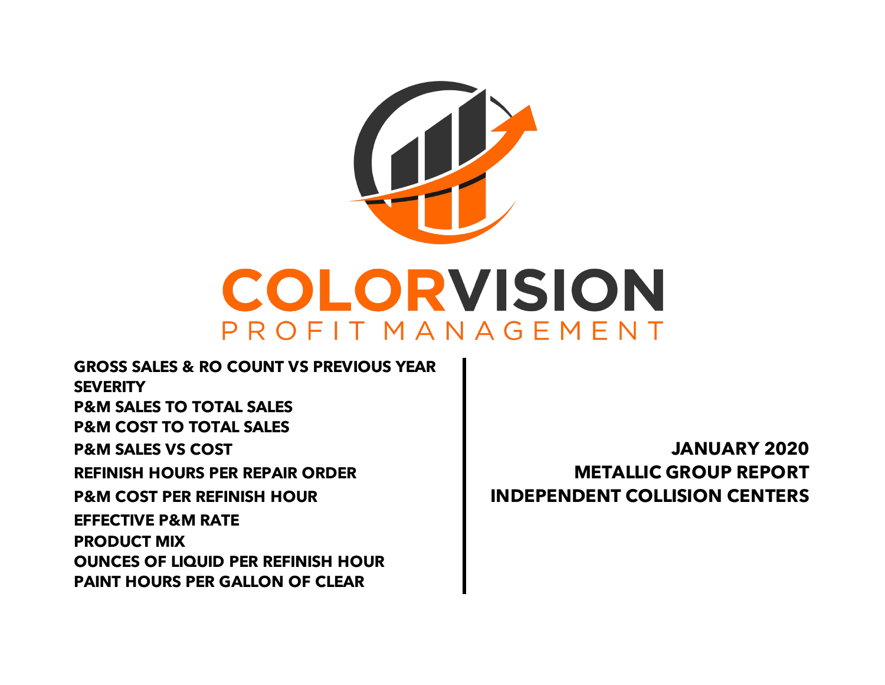

**GROSS SALES & RO COUNT VS PREVIOUS YEAR SEVERITY P&M SALES TO TOTAL SALES P&M COST TO TOTAL SALES P&M SALES VS COST JANUARY 2020 REFINISH HOURS PER REPAIR ORDER METALLIC GROUP REPORT P&M COST PER REFINISH HOUR INDEPENDENT COLLISION CENTERS PAINT HOURS PER GALLON OF CLEAR EFFECTIVE P&M RATE PRODUCT MIX OUNCES OF LIQUID PER REFINISH HOUR**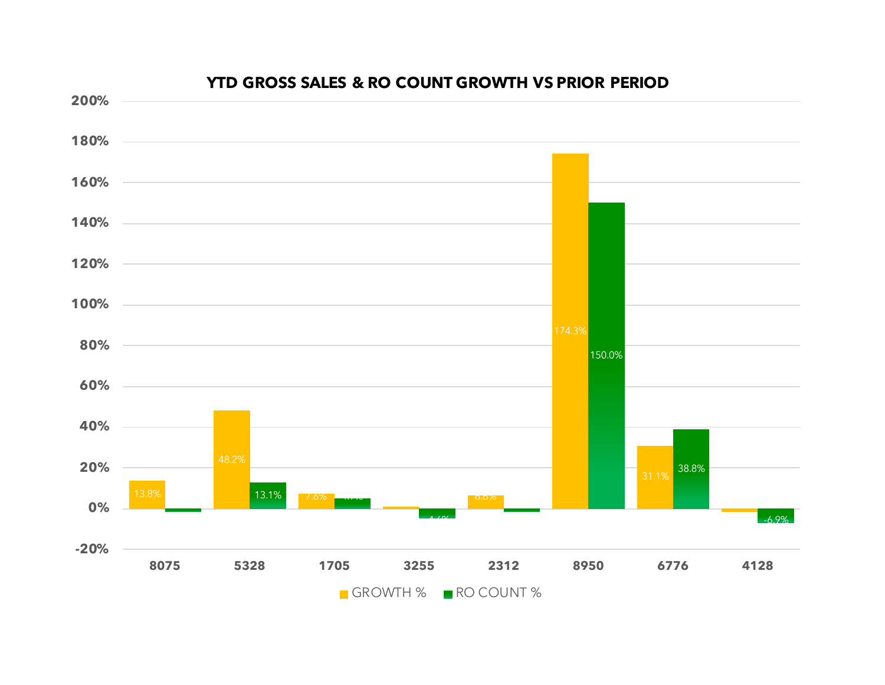

#### **YTD GROSS SALES & RO COUNT GROWTH VS PRIOR PERIOD**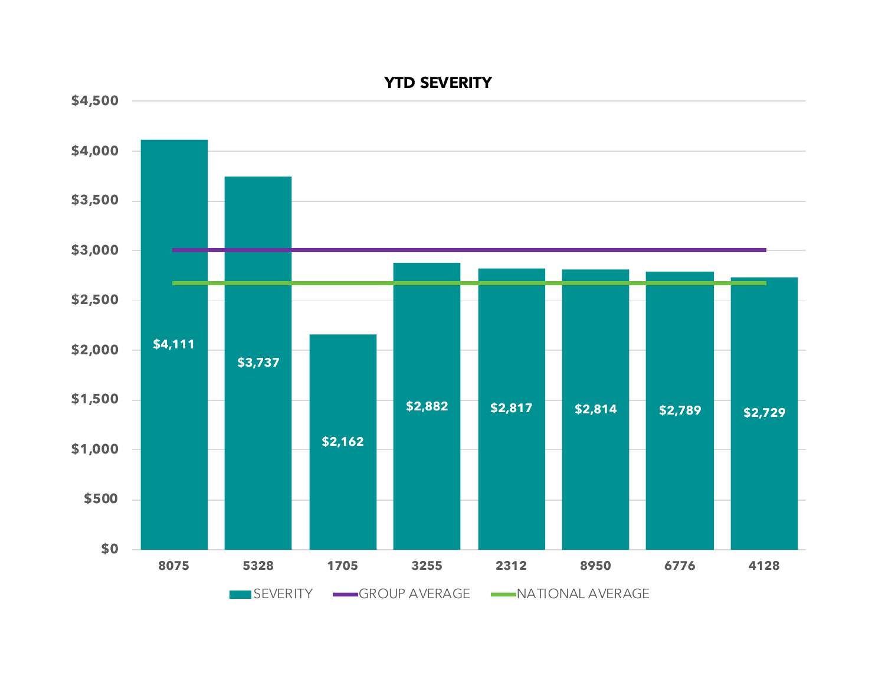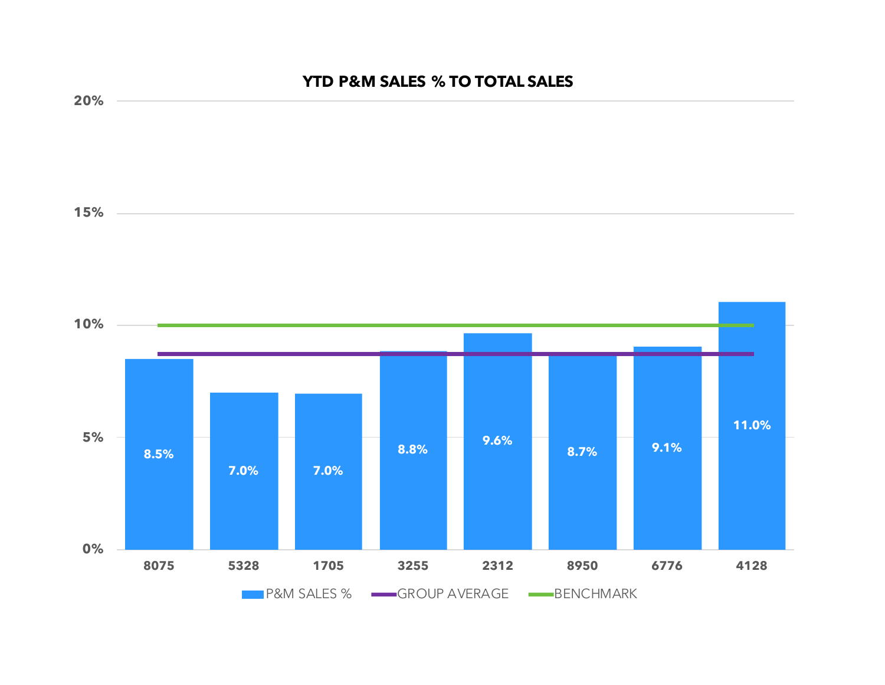# **8.5% 7.0% 7.0% 8.8% 9.6% 8.7% 9.1% 11.0% 0% 5% 10% 15% 20% 8075 5328 1705 3255 2312 8950 6776 4128 YTD P&M SALES % TO TOTAL SALES PRAM SALES % GROUP AVERAGE BENCHMARK**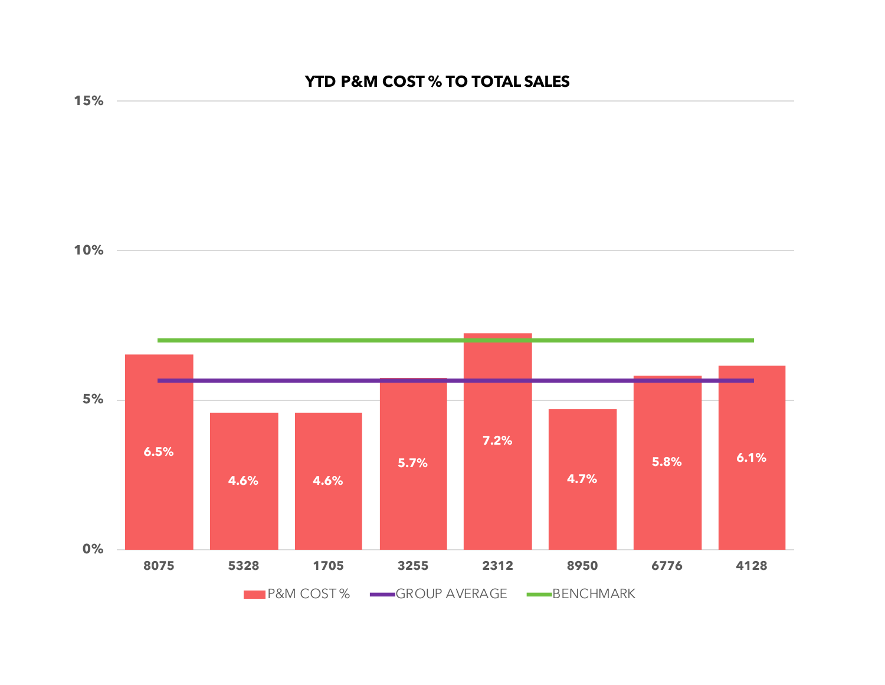## **YTD P&M COST % TO TOTAL SALES**



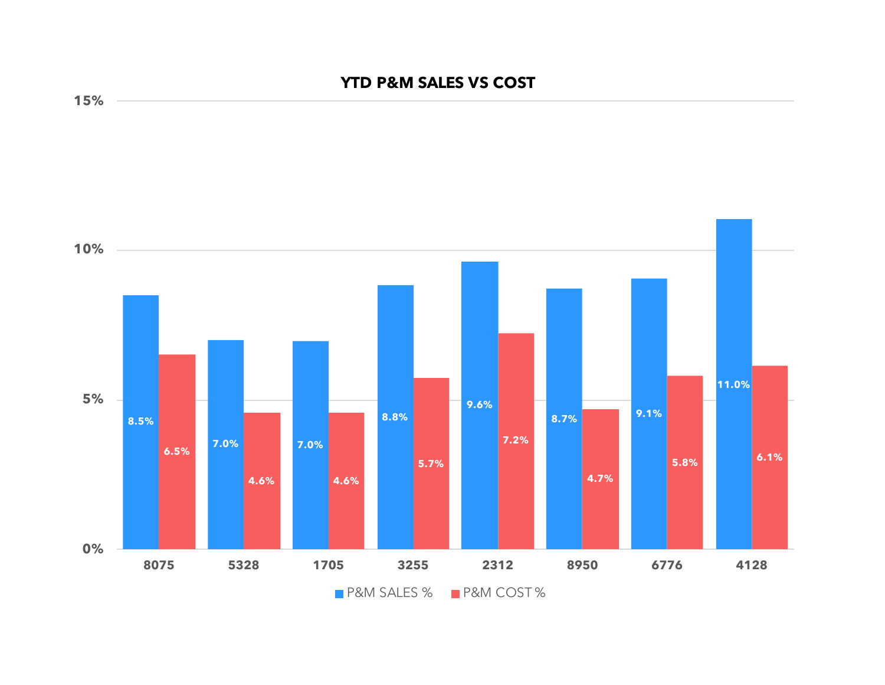## **YTD P&M SALES VS COST**



**15%**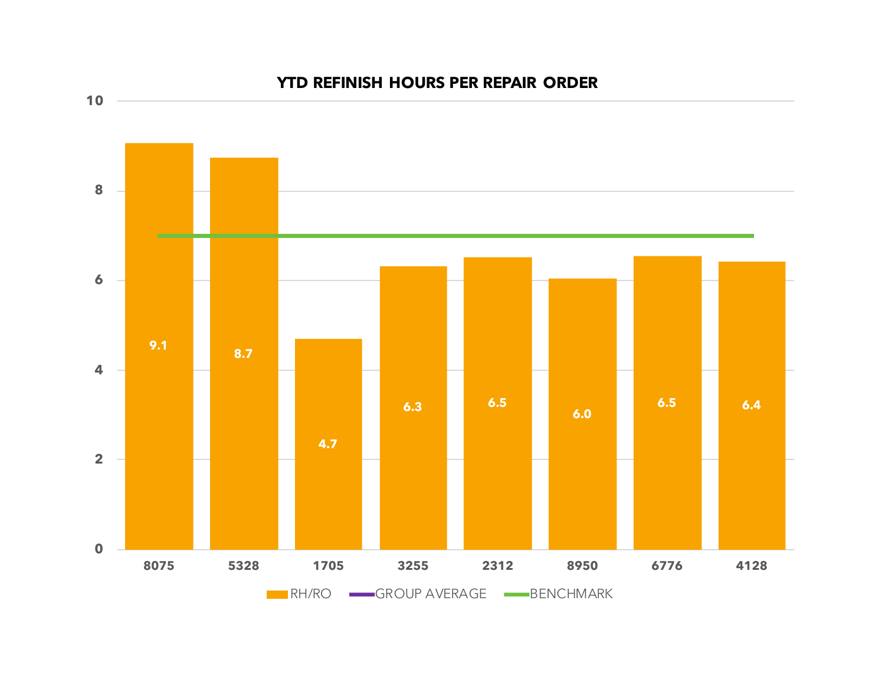

### **YTD REFINISH HOURS PER REPAIR ORDER**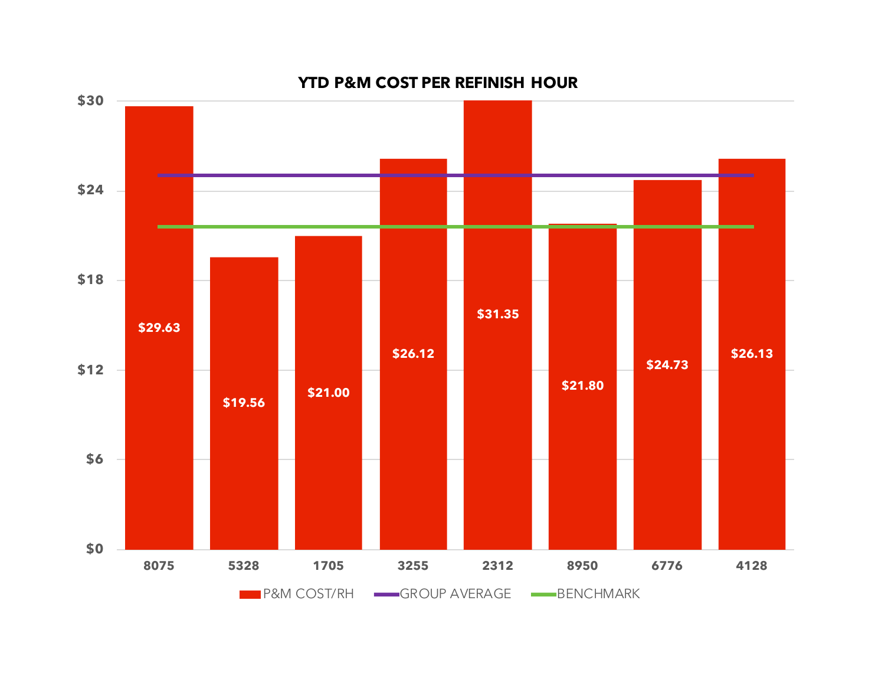

#### **YTD P&M COST PER REFINISH HOUR**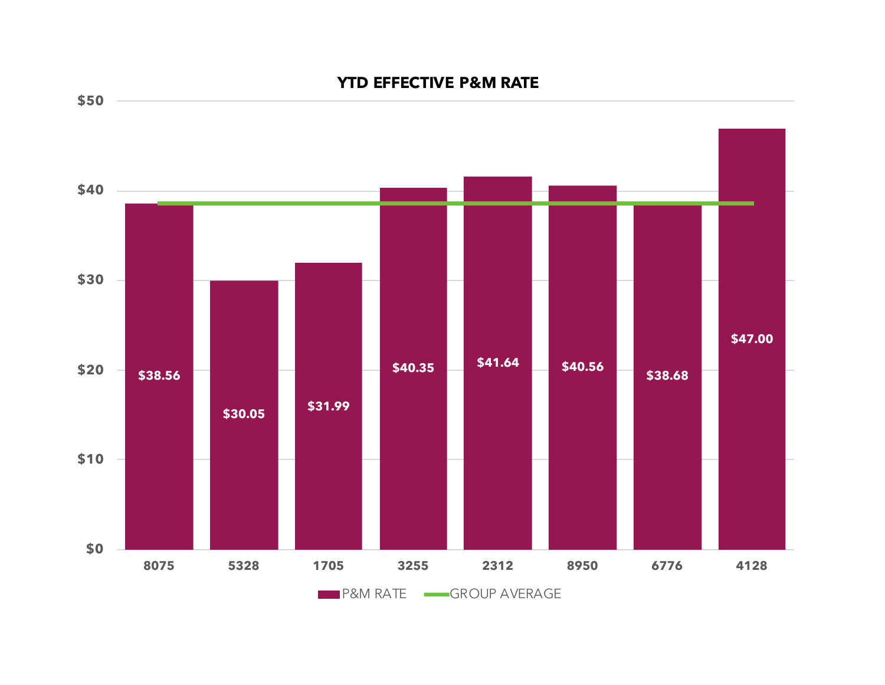## **YTD EFFECTIVE P&M RATE**



**\$50**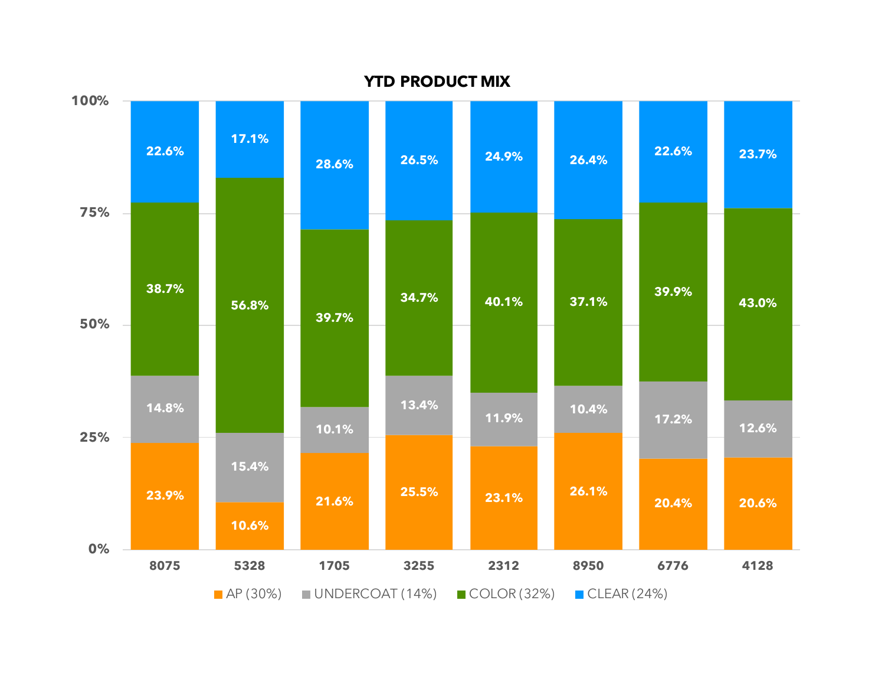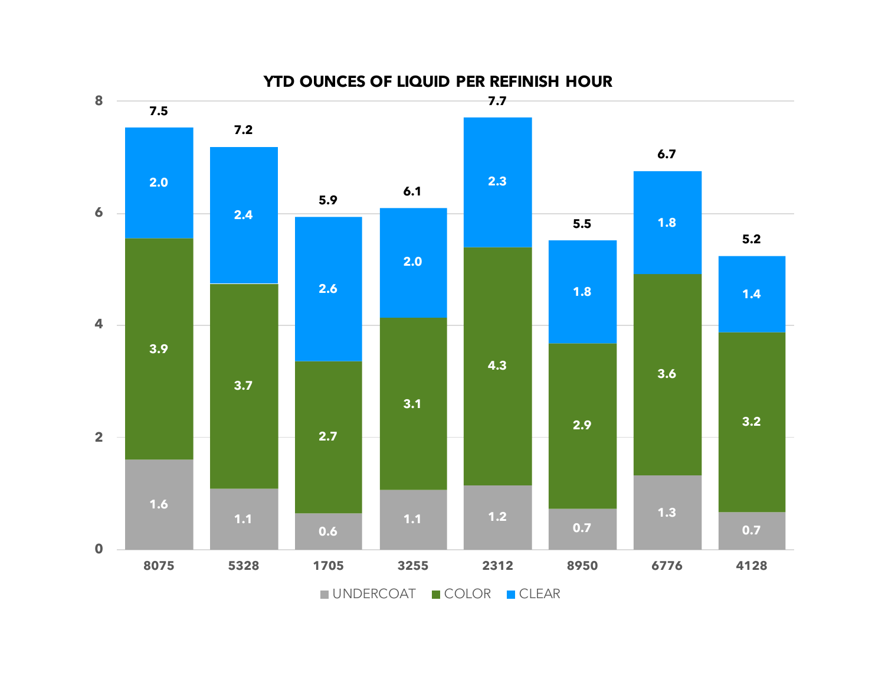

**YTD OUNCES OF LIQUID PER REFINISH HOUR**